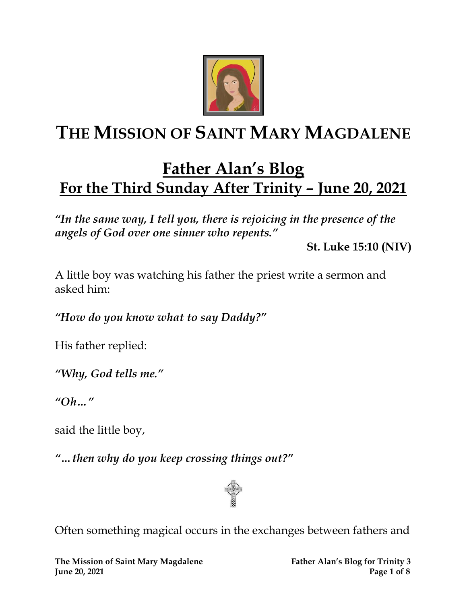

# **THE MISSION OF SAINT MARY MAGDALENE**

## **Father Alan's Blog For the Third Sunday After Trinity – June 20, 2021**

*"In the same way, I tell you, there is rejoicing in the presence of the angels of God over one sinner who repents."* 

**St. Luke 15:10 (NIV)**

A little boy was watching his father the priest write a sermon and asked him:

*"How do you know what to say Daddy?"*

His father replied:

*"Why, God tells me."*

*"Oh…"*

said the little boy,

*"…then why do you keep crossing things out?"*



Often something magical occurs in the exchanges between fathers and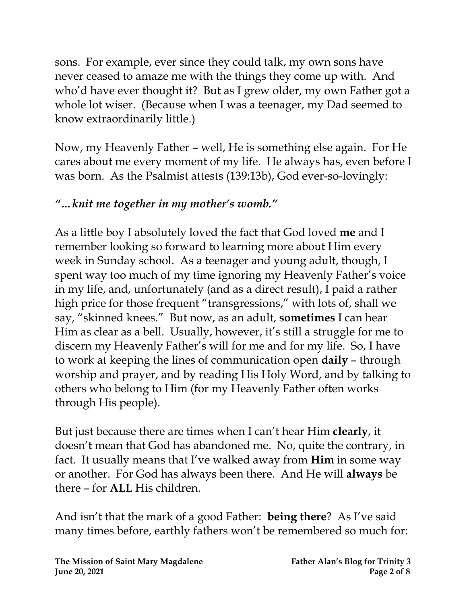sons. For example, ever since they could talk, my own sons have never ceased to amaze me with the things they come up with. And who'd have ever thought it? But as I grew older, my own Father got a whole lot wiser. (Because when I was a teenager, my Dad seemed to know extraordinarily little.)

Now, my Heavenly Father – well, He is something else again. For He cares about me every moment of my life. He always has, even before I was born. As the Psalmist attests (139:13b), God ever-so-lovingly:

#### *"…knit me together in my mother's womb."*

As a little boy I absolutely loved the fact that God loved **me** and I remember looking so forward to learning more about Him every week in Sunday school. As a teenager and young adult, though, I spent way too much of my time ignoring my Heavenly Father's voice in my life, and, unfortunately (and as a direct result), I paid a rather high price for those frequent "transgressions," with lots of, shall we say, "skinned knees." But now, as an adult, **sometimes** I can hear Him as clear as a bell. Usually, however, it's still a struggle for me to discern my Heavenly Father's will for me and for my life. So, I have to work at keeping the lines of communication open **daily** – through worship and prayer, and by reading His Holy Word, and by talking to others who belong to Him (for my Heavenly Father often works through His people).

But just because there are times when I can't hear Him **clearly**, it doesn't mean that God has abandoned me. No, quite the contrary, in fact. It usually means that I've walked away from **Him** in some way or another. For God has always been there. And He will **always** be there – for **ALL** His children.

And isn't that the mark of a good Father: **being there**? As I've said many times before, earthly fathers won't be remembered so much for: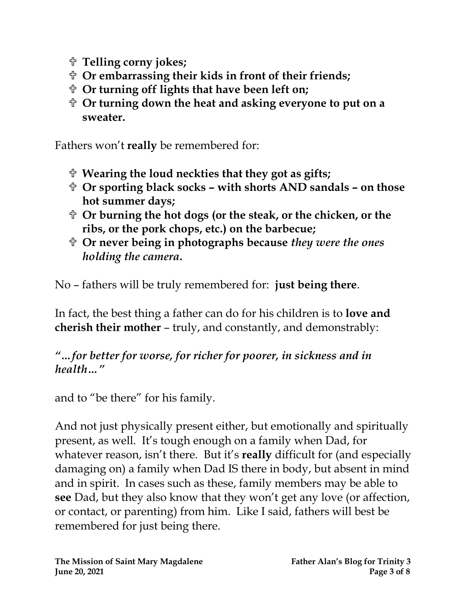- **Telling corny jokes;**
- **Or embarrassing their kids in front of their friends;**
- **Or turning off lights that have been left on;**
- **Or turning down the heat and asking everyone to put on a sweater.**

Fathers won't **really** be remembered for:

- **Wearing the loud neckties that they got as gifts;**
- **Or sporting black socks – with shorts AND sandals – on those hot summer days;**
- **Or burning the hot dogs (or the steak, or the chicken, or the ribs, or the pork chops, etc.) on the barbecue;**
- **Or never being in photographs because** *they were the ones holding the camera***.**

No – fathers will be truly remembered for: **just being there**.

In fact, the best thing a father can do for his children is to **love and cherish their mother** – truly, and constantly, and demonstrably:

#### *"…for better for worse, for richer for poorer, in sickness and in health…"*

and to "be there" for his family.

And not just physically present either, but emotionally and spiritually present, as well. It's tough enough on a family when Dad, for whatever reason, isn't there. But it's **really** difficult for (and especially damaging on) a family when Dad IS there in body, but absent in mind and in spirit. In cases such as these, family members may be able to **see** Dad, but they also know that they won't get any love (or affection, or contact, or parenting) from him. Like I said, fathers will best be remembered for just being there.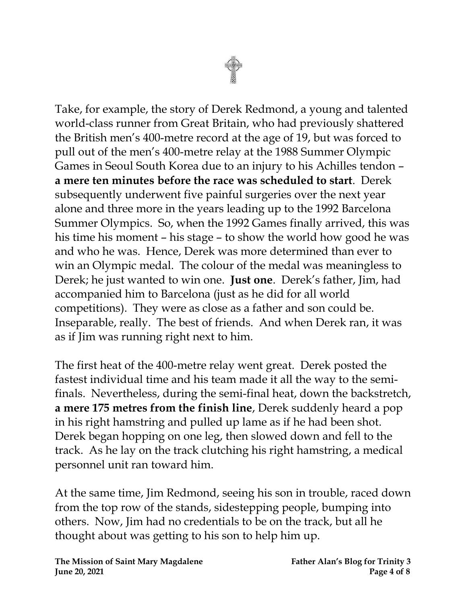

Take, for example, the story of Derek Redmond, a young and talented world-class runner from Great Britain, who had previously shattered the British men's 400-metre record at the age of 19, but was forced to pull out of the men's 400-metre relay at the 1988 Summer Olympic Games in Seoul South Korea due to an injury to his Achilles tendon – **a mere ten minutes before the race was scheduled to start**. Derek subsequently underwent five painful surgeries over the next year alone and three more in the years leading up to the 1992 Barcelona Summer Olympics. So, when the 1992 Games finally arrived, this was his time his moment – his stage – to show the world how good he was and who he was. Hence, Derek was more determined than ever to win an Olympic medal. The colour of the medal was meaningless to Derek; he just wanted to win one. **Just one**. Derek's father, Jim, had accompanied him to Barcelona (just as he did for all world competitions). They were as close as a father and son could be. Inseparable, really. The best of friends. And when Derek ran, it was as if Jim was running right next to him.

The first heat of the 400-metre relay went great. Derek posted the fastest individual time and his team made it all the way to the semifinals. Nevertheless, during the semi-final heat, down the backstretch, **a mere 175 metres from the finish line**, Derek suddenly heard a pop in his right hamstring and pulled up lame as if he had been shot. Derek began hopping on one leg, then slowed down and fell to the track. As he lay on the track clutching his right hamstring, a medical personnel unit ran toward him.

At the same time, Jim Redmond, seeing his son in trouble, raced down from the top row of the stands, sidestepping people, bumping into others. Now, Jim had no credentials to be on the track, but all he thought about was getting to his son to help him up.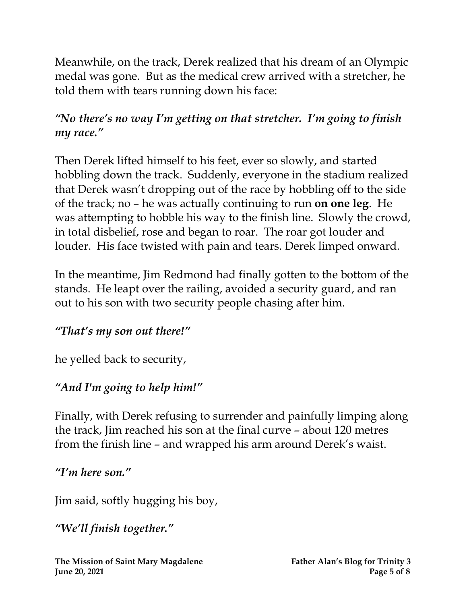Meanwhile, on the track, Derek realized that his dream of an Olympic medal was gone. But as the medical crew arrived with a stretcher, he told them with tears running down his face:

#### *"No there's no way I'm getting on that stretcher. I'm going to finish my race."*

Then Derek lifted himself to his feet, ever so slowly, and started hobbling down the track. Suddenly, everyone in the stadium realized that Derek wasn't dropping out of the race by hobbling off to the side of the track; no – he was actually continuing to run **on one leg**. He was attempting to hobble his way to the finish line. Slowly the crowd, in total disbelief, rose and began to roar. The roar got louder and louder. His face twisted with pain and tears. Derek limped onward.

In the meantime, Jim Redmond had finally gotten to the bottom of the stands. He leapt over the railing, avoided a security guard, and ran out to his son with two security people chasing after him.

#### *"That's my son out there!"*

he yelled back to security,

#### *"And I'm going to help him!"*

Finally, with Derek refusing to surrender and painfully limping along the track, Jim reached his son at the final curve – about 120 metres from the finish line – and wrapped his arm around Derek's waist.

#### *"I'm here son."*

Jim said, softly hugging his boy,

*"We'll finish together."*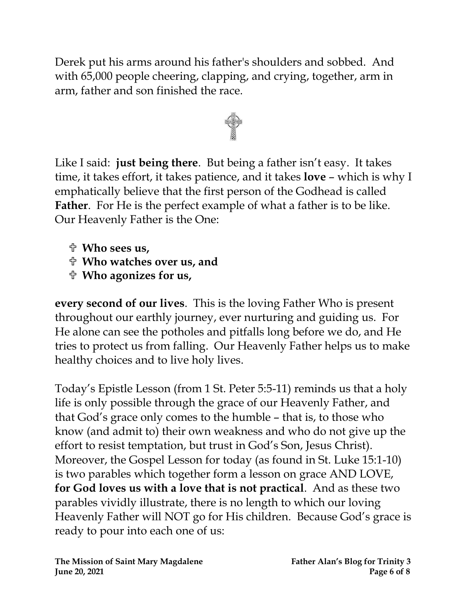Derek put his arms around his father's shoulders and sobbed. And with 65,000 people cheering, clapping, and crying, together, arm in arm, father and son finished the race.



Like I said: **just being there**. But being a father isn't easy. It takes time, it takes effort, it takes patience, and it takes **love** – which is why I emphatically believe that the first person of the Godhead is called **Father**. For He is the perfect example of what a father is to be like. Our Heavenly Father is the One:

- **Who sees us,**
- **Who watches over us, and**
- **Who agonizes for us,**

**every second of our lives**. This is the loving Father Who is present throughout our earthly journey, ever nurturing and guiding us. For He alone can see the potholes and pitfalls long before we do, and He tries to protect us from falling. Our Heavenly Father helps us to make healthy choices and to live holy lives.

Today's Epistle Lesson (from 1 St. Peter 5:5-11) reminds us that a holy life is only possible through the grace of our Heavenly Father, and that God's grace only comes to the humble – that is, to those who know (and admit to) their own weakness and who do not give up the effort to resist temptation, but trust in God's Son, Jesus Christ). Moreover, the Gospel Lesson for today (as found in St. Luke 15:1-10) is two parables which together form a lesson on grace AND LOVE, **for God loves us with a love that is not practical**. And as these two parables vividly illustrate, there is no length to which our loving Heavenly Father will NOT go for His children. Because God's grace is ready to pour into each one of us: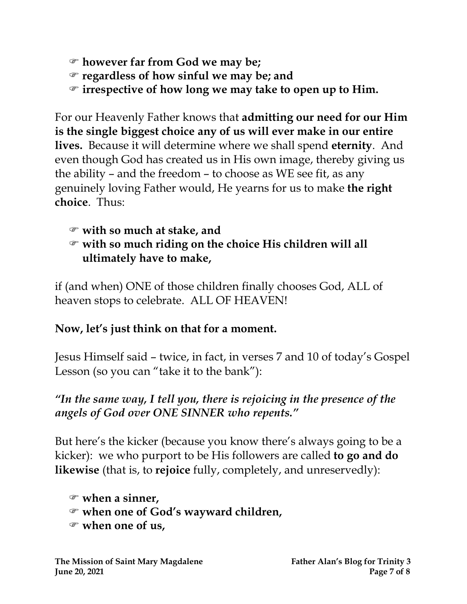- **however far from God we may be;**
- **regardless of how sinful we may be; and**
- **irrespective of how long we may take to open up to Him.**

For our Heavenly Father knows that **admitting our need for our Him is the single biggest choice any of us will ever make in our entire lives.** Because it will determine where we shall spend **eternity**. And even though God has created us in His own image, thereby giving us the ability – and the freedom – to choose as WE see fit, as any genuinely loving Father would, He yearns for us to make **the right choice**. Thus:

#### **with so much at stake, and with so much riding on the choice His children will all ultimately have to make,**

if (and when) ONE of those children finally chooses God, ALL of heaven stops to celebrate. ALL OF HEAVEN!

### **Now, let's just think on that for a moment.**

Jesus Himself said – twice, in fact, in verses 7 and 10 of today's Gospel Lesson (so you can "take it to the bank"):

### *"In the same way, I tell you, there is rejoicing in the presence of the angels of God over ONE SINNER who repents."*

But here's the kicker (because you know there's always going to be a kicker): we who purport to be His followers are called **to go and do likewise** (that is, to **rejoice** fully, completely, and unreservedly):

```
 when a sinner,
when one of God's wayward children,
when one of us,
```